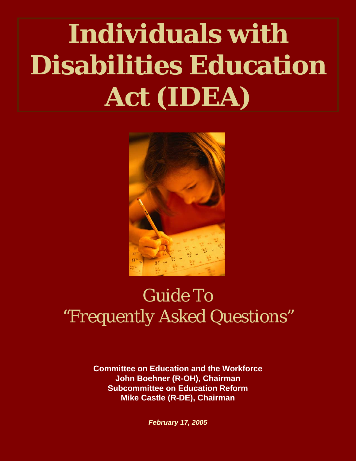# **Individuals with Disabilities Education Act (IDEA)**



# *Guide To "Frequently Asked Questions"*

**Committee on Education and the Workforce John Boehner (R-OH), Chairman Subcommittee on Education Reform Mike Castle (R-DE), Chairman**

*February 17, 2005*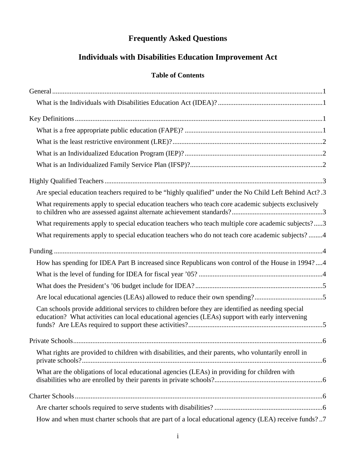### **Frequently Asked Questions**

## **Individuals with Disabilities Education Improvement Act**

#### **Table of Contents**

| Are special education teachers required to be "highly qualified" under the No Child Left Behind Act? .3                                                                                              |
|------------------------------------------------------------------------------------------------------------------------------------------------------------------------------------------------------|
| What requirements apply to special education teachers who teach core academic subjects exclusively                                                                                                   |
| What requirements apply to special education teachers who teach multiple core academic subjects?3                                                                                                    |
| What requirements apply to special education teachers who do not teach core academic subjects?4                                                                                                      |
|                                                                                                                                                                                                      |
| How has spending for IDEA Part B increased since Republicans won control of the House in 1994?4                                                                                                      |
|                                                                                                                                                                                                      |
|                                                                                                                                                                                                      |
| Are local educational agencies (LEAs) allowed to reduce their own spending?5                                                                                                                         |
| Can schools provide additional services to children before they are identified as needing special<br>education? What activities can local educational agencies (LEAs) support with early intervening |
|                                                                                                                                                                                                      |
| What rights are provided to children with disabilities, and their parents, who voluntarily enroll in                                                                                                 |
| What are the obligations of local educational agencies (LEAs) in providing for children with                                                                                                         |
|                                                                                                                                                                                                      |
|                                                                                                                                                                                                      |
| How and when must charter schools that are part of a local educational agency (LEA) receive funds?7                                                                                                  |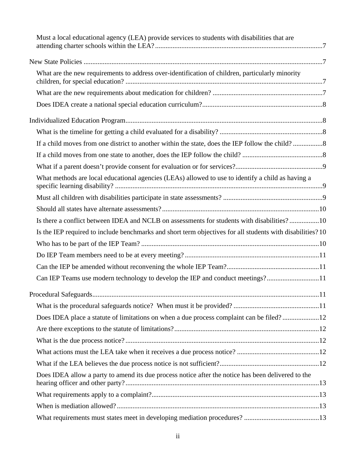| Must a local educational agency (LEA) provide services to students with disabilities that are              |  |
|------------------------------------------------------------------------------------------------------------|--|
|                                                                                                            |  |
| What are the new requirements to address over-identification of children, particularly minority            |  |
|                                                                                                            |  |
|                                                                                                            |  |
|                                                                                                            |  |
|                                                                                                            |  |
|                                                                                                            |  |
|                                                                                                            |  |
|                                                                                                            |  |
| What methods are local educational agencies (LEAs) allowed to use to identify a child as having a          |  |
|                                                                                                            |  |
|                                                                                                            |  |
| Is there a conflict between IDEA and NCLB on assessments for students with disabilities?10                 |  |
| Is the IEP required to include benchmarks and short term objectives for all students with disabilities? 10 |  |
|                                                                                                            |  |
|                                                                                                            |  |
|                                                                                                            |  |
| Can IEP Teams use modern technology to develop the IEP and conduct meetings?11                             |  |
|                                                                                                            |  |
|                                                                                                            |  |
| Does IDEA place a statute of limitations on when a due process complaint can be filed?12                   |  |
|                                                                                                            |  |
|                                                                                                            |  |
|                                                                                                            |  |
|                                                                                                            |  |
| Does IDEA allow a party to amend its due process notice after the notice has been delivered to the         |  |
|                                                                                                            |  |
|                                                                                                            |  |
|                                                                                                            |  |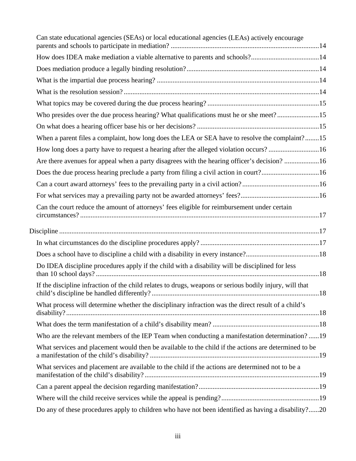| Can state educational agencies (SEAs) or local educational agencies (LEAs) actively encourage           |  |
|---------------------------------------------------------------------------------------------------------|--|
| How does IDEA make mediation a viable alternative to parents and schools?14                             |  |
|                                                                                                         |  |
|                                                                                                         |  |
|                                                                                                         |  |
|                                                                                                         |  |
| Who presides over the due process hearing? What qualifications must he or she meet?15                   |  |
|                                                                                                         |  |
| When a parent files a complaint, how long does the LEA or SEA have to resolve the complaint?15          |  |
| How long does a party have to request a hearing after the alleged violation occurs?16                   |  |
| Are there avenues for appeal when a party disagrees with the hearing officer's decision?16              |  |
| Does the due process hearing preclude a party from filing a civil action in court?16                    |  |
|                                                                                                         |  |
|                                                                                                         |  |
| Can the court reduce the amount of attorneys' fees eligible for reimbursement under certain             |  |
|                                                                                                         |  |
|                                                                                                         |  |
|                                                                                                         |  |
| Do IDEA discipline procedures apply if the child with a disability will be disciplined for less         |  |
| If the discipline infraction of the child relates to drugs, weapons or serious bodily injury, will that |  |
| What process will determine whether the disciplinary infraction was the direct result of a child's      |  |
|                                                                                                         |  |
| Who are the relevant members of the IEP Team when conducting a manifestation determination?19           |  |
| What services and placement would then be available to the child if the actions are determined to be    |  |
| What services and placement are available to the child if the actions are determined not to be a        |  |
|                                                                                                         |  |
|                                                                                                         |  |
| Do any of these procedures apply to children who have not been identified as having a disability?20     |  |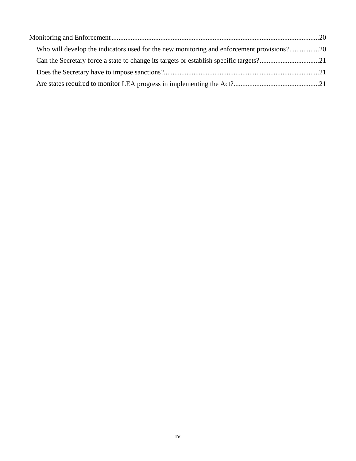| Who will develop the indicators used for the new monitoring and enforcement provisions?20 |  |
|-------------------------------------------------------------------------------------------|--|
|                                                                                           |  |
|                                                                                           |  |
|                                                                                           |  |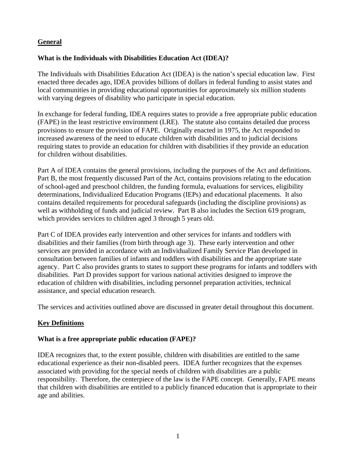#### **General**

#### **What is the Individuals with Disabilities Education Act (IDEA)?**

The Individuals with Disabilities Education Act (IDEA) is the nation's special education law. First enacted three decades ago, IDEA provides billions of dollars in federal funding to assist states and local communities in providing educational opportunities for approximately six million students with varying degrees of disability who participate in special education.

In exchange for federal funding, IDEA requires states to provide a free appropriate public education (FAPE) in the least restrictive environment (LRE). The statute also contains detailed due process provisions to ensure the provision of FAPE. Originally enacted in 1975, the Act responded to increased awareness of the need to educate children with disabilities and to judicial decisions requiring states to provide an education for children with disabilities if they provide an education for children without disabilities.

Part A of IDEA contains the general provisions, including the purposes of the Act and definitions. Part B, the most frequently discussed Part of the Act, contains provisions relating to the education of school-aged and preschool children, the funding formula, evaluations for services, eligibility determinations, Individualized Education Programs (IEPs) and educational placements. It also contains detailed requirements for procedural safeguards (including the discipline provisions) as well as withholding of funds and judicial review. Part B also includes the Section 619 program, which provides services to children aged 3 through 5 years old.

Part C of IDEA provides early intervention and other services for infants and toddlers with disabilities and their families (from birth through age 3). These early intervention and other services are provided in accordance with an Individualized Family Service Plan developed in consultation between families of infants and toddlers with disabilities and the appropriate state agency. Part C also provides grants to states to support these programs for infants and toddlers with disabilities. Part D provides support for various national activities designed to improve the education of children with disabilities, including personnel preparation activities, technical assistance, and special education research.

The services and activities outlined above are discussed in greater detail throughout this document.

#### **Key Definitions**

#### **What is a free appropriate public education (FAPE)?**

IDEA recognizes that, to the extent possible, children with disabilities are entitled to the same educational experience as their non-disabled peers. IDEA further recognizes that the expenses associated with providing for the special needs of children with disabilities are a public responsibility. Therefore, the centerpiece of the law is the FAPE concept. Generally, FAPE means that children with disabilities are entitled to a publicly financed education that is appropriate to their age and abilities.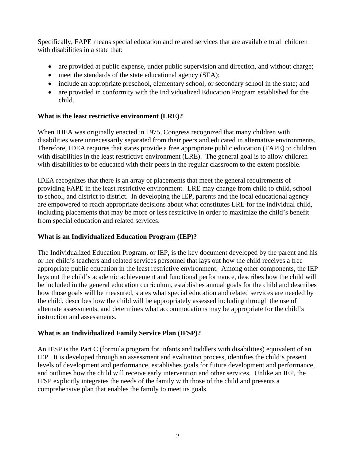Specifically, FAPE means special education and related services that are available to all children with disabilities in a state that:

- are provided at public expense, under public supervision and direction, and without charge;
- meet the standards of the state educational agency (SEA);
- include an appropriate preschool, elementary school, or secondary school in the state; and
- are provided in conformity with the Individualized Education Program established for the child.

#### **What is the least restrictive environment (LRE)?**

When IDEA was originally enacted in 1975, Congress recognized that many children with disabilities were unnecessarily separated from their peers and educated in alternative environments. Therefore, IDEA requires that states provide a free appropriate public education (FAPE) to children with disabilities in the least restrictive environment (LRE). The general goal is to allow children with disabilities to be educated with their peers in the regular classroom to the extent possible.

IDEA recognizes that there is an array of placements that meet the general requirements of providing FAPE in the least restrictive environment. LRE may change from child to child, school to school, and district to district. In developing the IEP, parents and the local educational agency are empowered to reach appropriate decisions about what constitutes LRE for the individual child, including placements that may be more or less restrictive in order to maximize the child's benefit from special education and related services.

#### **What is an Individualized Education Program (IEP)?**

The Individualized Education Program, or IEP, is the key document developed by the parent and his or her child's teachers and related services personnel that lays out how the child receives a free appropriate public education in the least restrictive environment. Among other components, the IEP lays out the child's academic achievement and functional performance, describes how the child will be included in the general education curriculum, establishes annual goals for the child and describes how those goals will be measured, states what special education and related services are needed by the child, describes how the child will be appropriately assessed including through the use of alternate assessments, and determines what accommodations may be appropriate for the child's instruction and assessments.

#### **What is an Individualized Family Service Plan (IFSP)?**

An IFSP is the Part C (formula program for infants and toddlers with disabilities) equivalent of an IEP. It is developed through an assessment and evaluation process, identifies the child's present levels of development and performance, establishes goals for future development and performance, and outlines how the child will receive early intervention and other services. Unlike an IEP, the IFSP explicitly integrates the needs of the family with those of the child and presents a comprehensive plan that enables the family to meet its goals.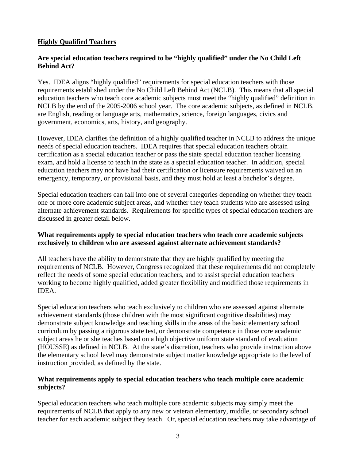#### **Highly Qualified Teachers**

#### **Are special education teachers required to be "highly qualified" under the No Child Left Behind Act?**

Yes. IDEA aligns "highly qualified" requirements for special education teachers with those requirements established under the No Child Left Behind Act (NCLB). This means that all special education teachers who teach core academic subjects must meet the "highly qualified" definition in NCLB by the end of the 2005-2006 school year. The core academic subjects, as defined in NCLB, are English, reading or language arts, mathematics, science, foreign languages, civics and government, economics, arts, history, and geography.

However, IDEA clarifies the definition of a highly qualified teacher in NCLB to address the unique needs of special education teachers. IDEA requires that special education teachers obtain certification as a special education teacher or pass the state special education teacher licensing exam, and hold a license to teach in the state as a special education teacher. In addition, special education teachers may not have had their certification or licensure requirements waived on an emergency, temporary, or provisional basis, and they must hold at least a bachelor's degree.

Special education teachers can fall into one of several categories depending on whether they teach one or more core academic subject areas, and whether they teach students who are assessed using alternate achievement standards. Requirements for specific types of special education teachers are discussed in greater detail below.

#### **What requirements apply to special education teachers who teach core academic subjects exclusively to children who are assessed against alternate achievement standards?**

All teachers have the ability to demonstrate that they are highly qualified by meeting the requirements of NCLB. However, Congress recognized that these requirements did not completely reflect the needs of some special education teachers, and to assist special education teachers working to become highly qualified, added greater flexibility and modified those requirements in IDEA.

Special education teachers who teach exclusively to children who are assessed against alternate achievement standards (those children with the most significant cognitive disabilities) may demonstrate subject knowledge and teaching skills in the areas of the basic elementary school curriculum by passing a rigorous state test, or demonstrate competence in those core academic subject areas he or she teaches based on a high objective uniform state standard of evaluation (HOUSSE) as defined in NCLB. At the state's discretion, teachers who provide instruction above the elementary school level may demonstrate subject matter knowledge appropriate to the level of instruction provided, as defined by the state.

#### **What requirements apply to special education teachers who teach multiple core academic subjects?**

Special education teachers who teach multiple core academic subjects may simply meet the requirements of NCLB that apply to any new or veteran elementary, middle, or secondary school teacher for each academic subject they teach. Or, special education teachers may take advantage of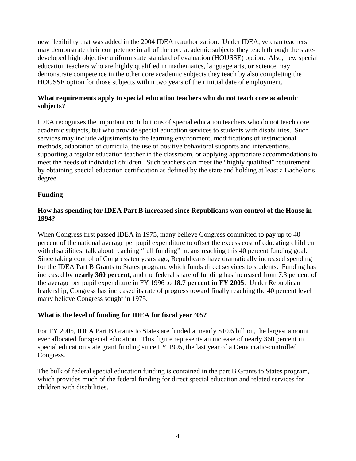new flexibility that was added in the 2004 IDEA reauthorization. Under IDEA, veteran teachers may demonstrate their competence in all of the core academic subjects they teach through the statedeveloped high objective uniform state standard of evaluation (HOUSSE) option. Also, new special education teachers who are highly qualified in mathematics, language arts, **or** science may demonstrate competence in the other core academic subjects they teach by also completing the HOUSSE option for those subjects within two years of their initial date of employment.

#### **What requirements apply to special education teachers who do not teach core academic subjects?**

IDEA recognizes the important contributions of special education teachers who do not teach core academic subjects, but who provide special education services to students with disabilities. Such services may include adjustments to the learning environment, modifications of instructional methods, adaptation of curricula, the use of positive behavioral supports and interventions, supporting a regular education teacher in the classroom, or applying appropriate accommodations to meet the needs of individual children. Such teachers can meet the "highly qualified" requirement by obtaining special education certification as defined by the state and holding at least a Bachelor's degree.

#### **Funding**

#### **How has spending for IDEA Part B increased since Republicans won control of the House in 1994?**

When Congress first passed IDEA in 1975, many believe Congress committed to pay up to 40 percent of the national average per pupil expenditure to offset the excess cost of educating children with disabilities; talk about reaching "full funding" means reaching this 40 percent funding goal. Since taking control of Congress ten years ago, Republicans have dramatically increased spending for the IDEA Part B Grants to States program, which funds direct services to students. Funding has increased by **nearly 360 percent,** and the federal share of funding has increased from 7.3 percent of the average per pupil expenditure in FY 1996 to **18.7 percent in FY 2005**. Under Republican leadership, Congress has increased its rate of progress toward finally reaching the 40 percent level many believe Congress sought in 1975.

#### **What is the level of funding for IDEA for fiscal year '05?**

For FY 2005, IDEA Part B Grants to States are funded at nearly \$10.6 billion, the largest amount ever allocated for special education. This figure represents an increase of nearly 360 percent in special education state grant funding since FY 1995, the last year of a Democratic-controlled Congress.

The bulk of federal special education funding is contained in the part B Grants to States program, which provides much of the federal funding for direct special education and related services for children with disabilities.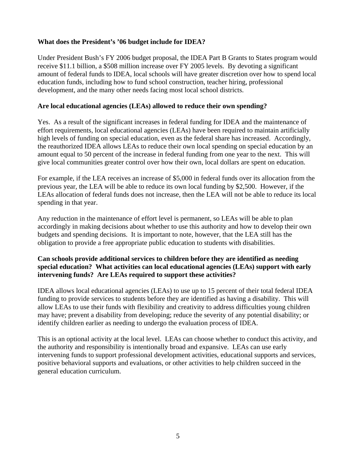#### **What does the President's '06 budget include for IDEA?**

Under President Bush's FY 2006 budget proposal, the IDEA Part B Grants to States program would receive \$11.1 billion, a \$508 million increase over FY 2005 levels. By devoting a significant amount of federal funds to IDEA, local schools will have greater discretion over how to spend local education funds, including how to fund school construction, teacher hiring, professional development, and the many other needs facing most local school districts.

#### **Are local educational agencies (LEAs) allowed to reduce their own spending?**

Yes. As a result of the significant increases in federal funding for IDEA and the maintenance of effort requirements, local educational agencies (LEAs) have been required to maintain artificially high levels of funding on special education, even as the federal share has increased. Accordingly, the reauthorized IDEA allows LEAs to reduce their own local spending on special education by an amount equal to 50 percent of the increase in federal funding from one year to the next. This will give local communities greater control over how their own, local dollars are spent on education.

For example, if the LEA receives an increase of \$5,000 in federal funds over its allocation from the previous year, the LEA will be able to reduce its own local funding by \$2,500. However, if the LEAs allocation of federal funds does not increase, then the LEA will not be able to reduce its local spending in that year.

Any reduction in the maintenance of effort level is permanent, so LEAs will be able to plan accordingly in making decisions about whether to use this authority and how to develop their own budgets and spending decisions. It is important to note, however, that the LEA still has the obligation to provide a free appropriate public education to students with disabilities.

#### **Can schools provide additional services to children before they are identified as needing special education? What activities can local educational agencies (LEAs) support with early intervening funds? Are LEAs required to support these activities?**

IDEA allows local educational agencies (LEAs) to use up to 15 percent of their total federal IDEA funding to provide services to students before they are identified as having a disability. This will allow LEAs to use their funds with flexibility and creativity to address difficulties young children may have; prevent a disability from developing; reduce the severity of any potential disability; or identify children earlier as needing to undergo the evaluation process of IDEA.

This is an optional activity at the local level. LEAs can choose whether to conduct this activity, and the authority and responsibility is intentionally broad and expansive. LEAs can use early intervening funds to support professional development activities, educational supports and services, positive behavioral supports and evaluations, or other activities to help children succeed in the general education curriculum.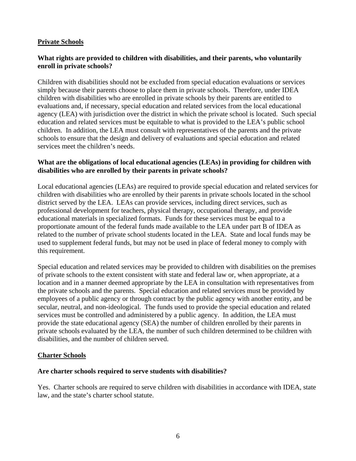#### **Private Schools**

#### **What rights are provided to children with disabilities, and their parents, who voluntarily enroll in private schools?**

Children with disabilities should not be excluded from special education evaluations or services simply because their parents choose to place them in private schools. Therefore, under IDEA children with disabilities who are enrolled in private schools by their parents are entitled to evaluations and, if necessary, special education and related services from the local educational agency (LEA) with jurisdiction over the district in which the private school is located. Such special education and related services must be equitable to what is provided to the LEA's public school children. In addition, the LEA must consult with representatives of the parents and the private schools to ensure that the design and delivery of evaluations and special education and related services meet the children's needs.

#### **What are the obligations of local educational agencies (LEAs) in providing for children with disabilities who are enrolled by their parents in private schools?**

Local educational agencies (LEAs) are required to provide special education and related services for children with disabilities who are enrolled by their parents in private schools located in the school district served by the LEA. LEAs can provide services, including direct services, such as professional development for teachers, physical therapy, occupational therapy, and provide educational materials in specialized formats. Funds for these services must be equal to a proportionate amount of the federal funds made available to the LEA under part B of IDEA as related to the number of private school students located in the LEA. State and local funds may be used to supplement federal funds, but may not be used in place of federal money to comply with this requirement.

Special education and related services may be provided to children with disabilities on the premises of private schools to the extent consistent with state and federal law or, when appropriate, at a location and in a manner deemed appropriate by the LEA in consultation with representatives from the private schools and the parents. Special education and related services must be provided by employees of a public agency or through contract by the public agency with another entity, and be secular, neutral, and non-ideological. The funds used to provide the special education and related services must be controlled and administered by a public agency. In addition, the LEA must provide the state educational agency (SEA) the number of children enrolled by their parents in private schools evaluated by the LEA, the number of such children determined to be children with disabilities, and the number of children served.

#### **Charter Schools**

#### **Are charter schools required to serve students with disabilities?**

Yes. Charter schools are required to serve children with disabilities in accordance with IDEA, state law, and the state's charter school statute.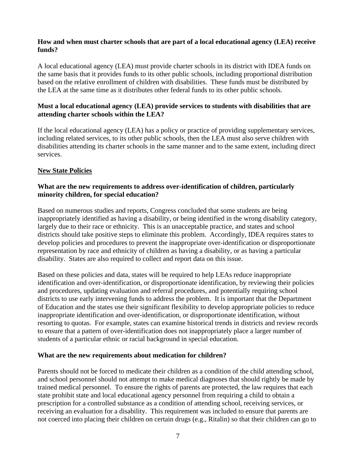#### **How and when must charter schools that are part of a local educational agency (LEA) receive funds?**

A local educational agency (LEA) must provide charter schools in its district with IDEA funds on the same basis that it provides funds to its other public schools, including proportional distribution based on the relative enrollment of children with disabilities. These funds must be distributed by the LEA at the same time as it distributes other federal funds to its other public schools.

#### **Must a local educational agency (LEA) provide services to students with disabilities that are attending charter schools within the LEA?**

If the local educational agency (LEA) has a policy or practice of providing supplementary services, including related services, to its other public schools, then the LEA must also serve children with disabilities attending its charter schools in the same manner and to the same extent, including direct services.

#### **New State Policies**

#### **What are the new requirements to address over-identification of children, particularly minority children, for special education?**

Based on numerous studies and reports, Congress concluded that some students are being inappropriately identified as having a disability, or being identified in the wrong disability category, largely due to their race or ethnicity. This is an unacceptable practice, and states and school districts should take positive steps to eliminate this problem. Accordingly, IDEA requires states to develop policies and procedures to prevent the inappropriate over-identification or disproportionate representation by race and ethnicity of children as having a disability, or as having a particular disability. States are also required to collect and report data on this issue.

Based on these policies and data, states will be required to help LEAs reduce inappropriate identification and over-identification, or disproportionate identification, by reviewing their policies and procedures, updating evaluation and referral procedures, and potentially requiring school districts to use early intervening funds to address the problem. It is important that the Department of Education and the states use their significant flexibility to develop appropriate policies to reduce inappropriate identification and over-identification, or disproportionate identification, without resorting to quotas. For example, states can examine historical trends in districts and review records to ensure that a pattern of over-identification does not inappropriately place a larger number of students of a particular ethnic or racial background in special education.

#### **What are the new requirements about medication for children?**

Parents should not be forced to medicate their children as a condition of the child attending school, and school personnel should not attempt to make medical diagnoses that should rightly be made by trained medical personnel. To ensure the rights of parents are protected, the law requires that each state prohibit state and local educational agency personnel from requiring a child to obtain a prescription for a controlled substance as a condition of attending school, receiving services, or receiving an evaluation for a disability. This requirement was included to ensure that parents are not coerced into placing their children on certain drugs (e.g., Ritalin) so that their children can go to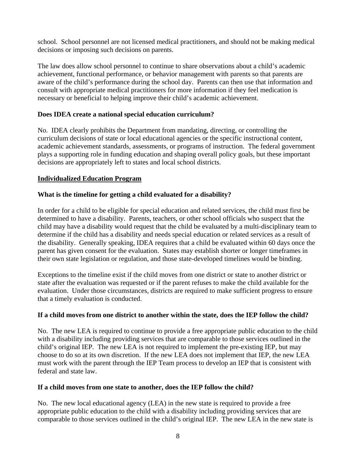school. School personnel are not licensed medical practitioners, and should not be making medical decisions or imposing such decisions on parents.

The law does allow school personnel to continue to share observations about a child's academic achievement, functional performance, or behavior management with parents so that parents are aware of the child's performance during the school day. Parents can then use that information and consult with appropriate medical practitioners for more information if they feel medication is necessary or beneficial to helping improve their child's academic achievement.

#### **Does IDEA create a national special education curriculum?**

No. IDEA clearly prohibits the Department from mandating, directing, or controlling the curriculum decisions of state or local educational agencies or the specific instructional content, academic achievement standards, assessments, or programs of instruction. The federal government plays a supporting role in funding education and shaping overall policy goals, but these important decisions are appropriately left to states and local school districts.

#### **Individualized Education Program**

#### **What is the timeline for getting a child evaluated for a disability?**

In order for a child to be eligible for special education and related services, the child must first be determined to have a disability. Parents, teachers, or other school officials who suspect that the child may have a disability would request that the child be evaluated by a multi-disciplinary team to determine if the child has a disability and needs special education or related services as a result of the disability. Generally speaking, IDEA requires that a child be evaluated within 60 days once the parent has given consent for the evaluation. States may establish shorter or longer timeframes in their own state legislation or regulation, and those state-developed timelines would be binding.

Exceptions to the timeline exist if the child moves from one district or state to another district or state after the evaluation was requested or if the parent refuses to make the child available for the evaluation. Under those circumstances, districts are required to make sufficient progress to ensure that a timely evaluation is conducted.

#### **If a child moves from one district to another within the state, does the IEP follow the child?**

No. The new LEA is required to continue to provide a free appropriate public education to the child with a disability including providing services that are comparable to those services outlined in the child's original IEP. The new LEA is not required to implement the pre-existing IEP, but may choose to do so at its own discretion. If the new LEA does not implement that IEP, the new LEA must work with the parent through the IEP Team process to develop an IEP that is consistent with federal and state law.

#### **If a child moves from one state to another, does the IEP follow the child?**

No. The new local educational agency (LEA) in the new state is required to provide a free appropriate public education to the child with a disability including providing services that are comparable to those services outlined in the child's original IEP. The new LEA in the new state is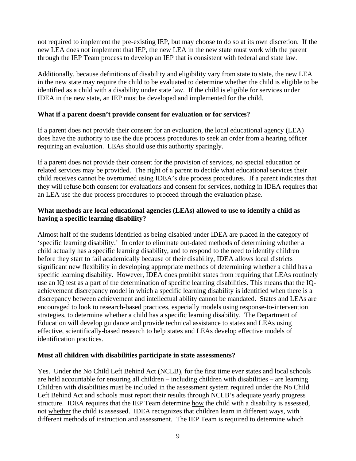not required to implement the pre-existing IEP, but may choose to do so at its own discretion. If the new LEA does not implement that IEP, the new LEA in the new state must work with the parent through the IEP Team process to develop an IEP that is consistent with federal and state law.

Additionally, because definitions of disability and eligibility vary from state to state, the new LEA in the new state may require the child to be evaluated to determine whether the child is eligible to be identified as a child with a disability under state law. If the child is eligible for services under IDEA in the new state, an IEP must be developed and implemented for the child.

#### **What if a parent doesn't provide consent for evaluation or for services?**

If a parent does not provide their consent for an evaluation, the local educational agency (LEA) does have the authority to use the due process procedures to seek an order from a hearing officer requiring an evaluation. LEAs should use this authority sparingly.

If a parent does not provide their consent for the provision of services, no special education or related services may be provided. The right of a parent to decide what educational services their child receives cannot be overturned using IDEA's due process procedures. If a parent indicates that they will refuse both consent for evaluations and consent for services, nothing in IDEA requires that an LEA use the due process procedures to proceed through the evaluation phase.

#### **What methods are local educational agencies (LEAs) allowed to use to identify a child as having a specific learning disability?**

Almost half of the students identified as being disabled under IDEA are placed in the category of 'specific learning disability.' In order to eliminate out-dated methods of determining whether a child actually has a specific learning disability, and to respond to the need to identify children before they start to fail academically because of their disability, IDEA allows local districts significant new flexibility in developing appropriate methods of determining whether a child has a specific learning disability. However, IDEA does prohibit states from requiring that LEAs routinely use an IQ test as a part of the determination of specific learning disabilities. This means that the IQachievement discrepancy model in which a specific learning disability is identified when there is a discrepancy between achievement and intellectual ability cannot be mandated. States and LEAs are encouraged to look to research-based practices, especially models using response-to-intervention strategies, to determine whether a child has a specific learning disability. The Department of Education will develop guidance and provide technical assistance to states and LEAs using effective, scientifically-based research to help states and LEAs develop effective models of identification practices.

#### **Must all children with disabilities participate in state assessments?**

Yes. Under the No Child Left Behind Act (NCLB), for the first time ever states and local schools are held accountable for ensuring all children – including children with disabilities – are learning. Children with disabilities must be included in the assessment system required under the No Child Left Behind Act and schools must report their results through NCLB's adequate yearly progress structure. IDEA requires that the IEP Team determine how the child with a disability is assessed, not whether the child is assessed. IDEA recognizes that children learn in different ways, with different methods of instruction and assessment. The IEP Team is required to determine which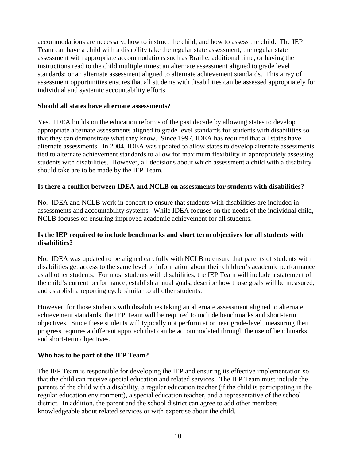accommodations are necessary, how to instruct the child, and how to assess the child. The IEP Team can have a child with a disability take the regular state assessment; the regular state assessment with appropriate accommodations such as Braille, additional time, or having the instructions read to the child multiple times; an alternate assessment aligned to grade level standards; or an alternate assessment aligned to alternate achievement standards. This array of assessment opportunities ensures that all students with disabilities can be assessed appropriately for individual and systemic accountability efforts.

#### **Should all states have alternate assessments?**

Yes. IDEA builds on the education reforms of the past decade by allowing states to develop appropriate alternate assessments aligned to grade level standards for students with disabilities so that they can demonstrate what they know. Since 1997, IDEA has required that all states have alternate assessments. In 2004, IDEA was updated to allow states to develop alternate assessments tied to alternate achievement standards to allow for maximum flexibility in appropriately assessing students with disabilities. However, all decisions about which assessment a child with a disability should take are to be made by the IEP Team.

#### **Is there a conflict between IDEA and NCLB on assessments for students with disabilities?**

No. IDEA and NCLB work in concert to ensure that students with disabilities are included in assessments and accountability systems. While IDEA focuses on the needs of the individual child, NCLB focuses on ensuring improved academic achievement for all students.

#### **Is the IEP required to include benchmarks and short term objectives for all students with disabilities?**

No. IDEA was updated to be aligned carefully with NCLB to ensure that parents of students with disabilities get access to the same level of information about their children's academic performance as all other students. For most students with disabilities, the IEP Team will include a statement of the child's current performance, establish annual goals, describe how those goals will be measured, and establish a reporting cycle similar to all other students.

However, for those students with disabilities taking an alternate assessment aligned to alternate achievement standards, the IEP Team will be required to include benchmarks and short-term objectives. Since these students will typically not perform at or near grade-level, measuring their progress requires a different approach that can be accommodated through the use of benchmarks and short-term objectives.

#### **Who has to be part of the IEP Team?**

The IEP Team is responsible for developing the IEP and ensuring its effective implementation so that the child can receive special education and related services. The IEP Team must include the parents of the child with a disability, a regular education teacher (if the child is participating in the regular education environment), a special education teacher, and a representative of the school district. In addition, the parent and the school district can agree to add other members knowledgeable about related services or with expertise about the child.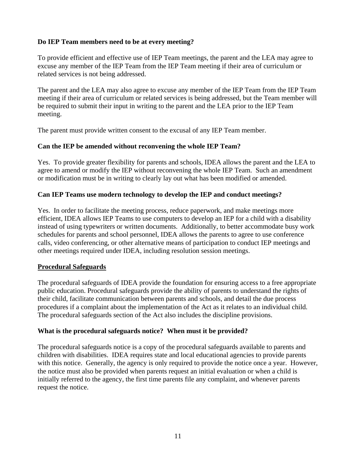#### **Do IEP Team members need to be at every meeting?**

To provide efficient and effective use of IEP Team meetings, the parent and the LEA may agree to excuse any member of the IEP Team from the IEP Team meeting if their area of curriculum or related services is not being addressed.

The parent and the LEA may also agree to excuse any member of the IEP Team from the IEP Team meeting if their area of curriculum or related services is being addressed, but the Team member will be required to submit their input in writing to the parent and the LEA prior to the IEP Team meeting.

The parent must provide written consent to the excusal of any IEP Team member.

#### **Can the IEP be amended without reconvening the whole IEP Team?**

Yes. To provide greater flexibility for parents and schools, IDEA allows the parent and the LEA to agree to amend or modify the IEP without reconvening the whole IEP Team. Such an amendment or modification must be in writing to clearly lay out what has been modified or amended.

#### **Can IEP Teams use modern technology to develop the IEP and conduct meetings?**

Yes. In order to facilitate the meeting process, reduce paperwork, and make meetings more efficient, IDEA allows IEP Teams to use computers to develop an IEP for a child with a disability instead of using typewriters or written documents. Additionally, to better accommodate busy work schedules for parents and school personnel, IDEA allows the parents to agree to use conference calls, video conferencing, or other alternative means of participation to conduct IEP meetings and other meetings required under IDEA, including resolution session meetings.

#### **Procedural Safeguards**

The procedural safeguards of IDEA provide the foundation for ensuring access to a free appropriate public education. Procedural safeguards provide the ability of parents to understand the rights of their child, facilitate communication between parents and schools, and detail the due process procedures if a complaint about the implementation of the Act as it relates to an individual child. The procedural safeguards section of the Act also includes the discipline provisions.

#### **What is the procedural safeguards notice? When must it be provided?**

The procedural safeguards notice is a copy of the procedural safeguards available to parents and children with disabilities. IDEA requires state and local educational agencies to provide parents with this notice. Generally, the agency is only required to provide the notice once a year. However, the notice must also be provided when parents request an initial evaluation or when a child is initially referred to the agency, the first time parents file any complaint, and whenever parents request the notice.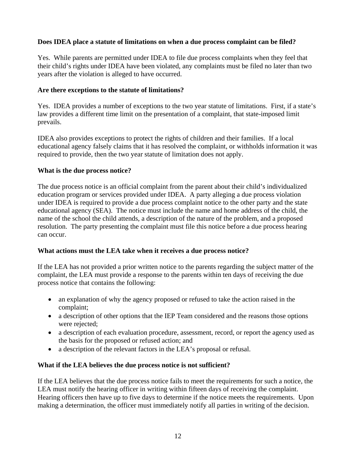#### **Does IDEA place a statute of limitations on when a due process complaint can be filed?**

Yes. While parents are permitted under IDEA to file due process complaints when they feel that their child's rights under IDEA have been violated, any complaints must be filed no later than two years after the violation is alleged to have occurred.

#### **Are there exceptions to the statute of limitations?**

Yes. IDEA provides a number of exceptions to the two year statute of limitations. First, if a state's law provides a different time limit on the presentation of a complaint, that state-imposed limit prevails.

IDEA also provides exceptions to protect the rights of children and their families. If a local educational agency falsely claims that it has resolved the complaint, or withholds information it was required to provide, then the two year statute of limitation does not apply.

#### **What is the due process notice?**

The due process notice is an official complaint from the parent about their child's individualized education program or services provided under IDEA. A party alleging a due process violation under IDEA is required to provide a due process complaint notice to the other party and the state educational agency (SEA). The notice must include the name and home address of the child, the name of the school the child attends, a description of the nature of the problem, and a proposed resolution. The party presenting the complaint must file this notice before a due process hearing can occur.

#### **What actions must the LEA take when it receives a due process notice?**

If the LEA has not provided a prior written notice to the parents regarding the subject matter of the complaint, the LEA must provide a response to the parents within ten days of receiving the due process notice that contains the following:

- an explanation of why the agency proposed or refused to take the action raised in the complaint;
- a description of other options that the IEP Team considered and the reasons those options were rejected;
- a description of each evaluation procedure, assessment, record, or report the agency used as the basis for the proposed or refused action; and
- a description of the relevant factors in the LEA's proposal or refusal.

#### **What if the LEA believes the due process notice is not sufficient?**

If the LEA believes that the due process notice fails to meet the requirements for such a notice, the LEA must notify the hearing officer in writing within fifteen days of receiving the complaint. Hearing officers then have up to five days to determine if the notice meets the requirements. Upon making a determination, the officer must immediately notify all parties in writing of the decision.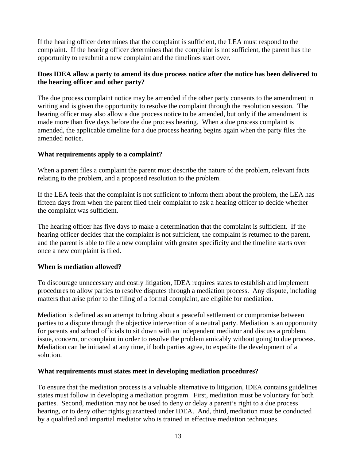If the hearing officer determines that the complaint is sufficient, the LEA must respond to the complaint. If the hearing officer determines that the complaint is not sufficient, the parent has the opportunity to resubmit a new complaint and the timelines start over.

#### **Does IDEA allow a party to amend its due process notice after the notice has been delivered to the hearing officer and other party?**

The due process complaint notice may be amended if the other party consents to the amendment in writing and is given the opportunity to resolve the complaint through the resolution session. The hearing officer may also allow a due process notice to be amended, but only if the amendment is made more than five days before the due process hearing. When a due process complaint is amended, the applicable timeline for a due process hearing begins again when the party files the amended notice.

#### **What requirements apply to a complaint?**

When a parent files a complaint the parent must describe the nature of the problem, relevant facts relating to the problem, and a proposed resolution to the problem.

If the LEA feels that the complaint is not sufficient to inform them about the problem, the LEA has fifteen days from when the parent filed their complaint to ask a hearing officer to decide whether the complaint was sufficient.

The hearing officer has five days to make a determination that the complaint is sufficient. If the hearing officer decides that the complaint is not sufficient, the complaint is returned to the parent, and the parent is able to file a new complaint with greater specificity and the timeline starts over once a new complaint is filed.

#### **When is mediation allowed?**

To discourage unnecessary and costly litigation, IDEA requires states to establish and implement procedures to allow parties to resolve disputes through a mediation process. Any dispute, including matters that arise prior to the filing of a formal complaint, are eligible for mediation.

Mediation is defined as an attempt to bring about a peaceful settlement or compromise between parties to a dispute through the objective intervention of a neutral party. Mediation is an opportunity for parents and school officials to sit down with an independent mediator and discuss a problem, issue, concern, or complaint in order to resolve the problem amicably without going to due process. Mediation can be initiated at any time, if both parties agree, to expedite the development of a solution.

#### **What requirements must states meet in developing mediation procedures?**

To ensure that the mediation process is a valuable alternative to litigation, IDEA contains guidelines states must follow in developing a mediation program. First, mediation must be voluntary for both parties. Second, mediation may not be used to deny or delay a parent's right to a due process hearing, or to deny other rights guaranteed under IDEA. And, third, mediation must be conducted by a qualified and impartial mediator who is trained in effective mediation techniques.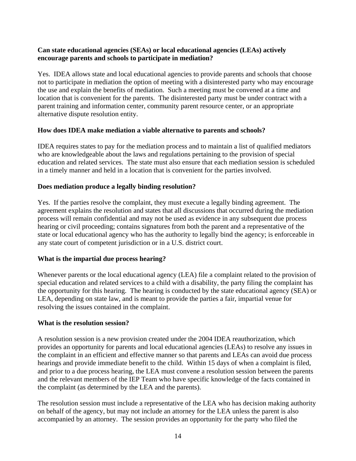#### **Can state educational agencies (SEAs) or local educational agencies (LEAs) actively encourage parents and schools to participate in mediation?**

Yes. IDEA allows state and local educational agencies to provide parents and schools that choose not to participate in mediation the option of meeting with a disinterested party who may encourage the use and explain the benefits of mediation. Such a meeting must be convened at a time and location that is convenient for the parents. The disinterested party must be under contract with a parent training and information center, community parent resource center, or an appropriate alternative dispute resolution entity.

#### **How does IDEA make mediation a viable alternative to parents and schools?**

IDEA requires states to pay for the mediation process and to maintain a list of qualified mediators who are knowledgeable about the laws and regulations pertaining to the provision of special education and related services. The state must also ensure that each mediation session is scheduled in a timely manner and held in a location that is convenient for the parties involved.

#### **Does mediation produce a legally binding resolution?**

Yes. If the parties resolve the complaint, they must execute a legally binding agreement. The agreement explains the resolution and states that all discussions that occurred during the mediation process will remain confidential and may not be used as evidence in any subsequent due process hearing or civil proceeding; contains signatures from both the parent and a representative of the state or local educational agency who has the authority to legally bind the agency; is enforceable in any state court of competent jurisdiction or in a U.S. district court.

#### **What is the impartial due process hearing?**

Whenever parents or the local educational agency (LEA) file a complaint related to the provision of special education and related services to a child with a disability, the party filing the complaint has the opportunity for this hearing. The hearing is conducted by the state educational agency (SEA) or LEA, depending on state law, and is meant to provide the parties a fair, impartial venue for resolving the issues contained in the complaint.

#### **What is the resolution session?**

A resolution session is a new provision created under the 2004 IDEA reauthorization, which provides an opportunity for parents and local educational agencies (LEAs) to resolve any issues in the complaint in an efficient and effective manner so that parents and LEAs can avoid due process hearings and provide immediate benefit to the child. Within 15 days of when a complaint is filed, and prior to a due process hearing, the LEA must convene a resolution session between the parents and the relevant members of the IEP Team who have specific knowledge of the facts contained in the complaint (as determined by the LEA and the parents).

The resolution session must include a representative of the LEA who has decision making authority on behalf of the agency, but may not include an attorney for the LEA unless the parent is also accompanied by an attorney. The session provides an opportunity for the party who filed the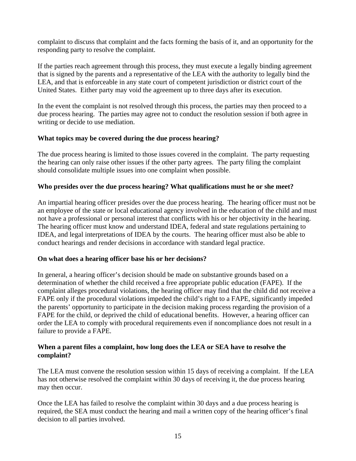complaint to discuss that complaint and the facts forming the basis of it, and an opportunity for the responding party to resolve the complaint.

If the parties reach agreement through this process, they must execute a legally binding agreement that is signed by the parents and a representative of the LEA with the authority to legally bind the LEA, and that is enforceable in any state court of competent jurisdiction or district court of the United States. Either party may void the agreement up to three days after its execution.

In the event the complaint is not resolved through this process, the parties may then proceed to a due process hearing. The parties may agree not to conduct the resolution session if both agree in writing or decide to use mediation.

#### **What topics may be covered during the due process hearing?**

The due process hearing is limited to those issues covered in the complaint. The party requesting the hearing can only raise other issues if the other party agrees. The party filing the complaint should consolidate multiple issues into one complaint when possible.

#### **Who presides over the due process hearing? What qualifications must he or she meet?**

An impartial hearing officer presides over the due process hearing. The hearing officer must not be an employee of the state or local educational agency involved in the education of the child and must not have a professional or personal interest that conflicts with his or her objectivity in the hearing. The hearing officer must know and understand IDEA, federal and state regulations pertaining to IDEA, and legal interpretations of IDEA by the courts. The hearing officer must also be able to conduct hearings and render decisions in accordance with standard legal practice.

#### **On what does a hearing officer base his or her decisions?**

In general, a hearing officer's decision should be made on substantive grounds based on a determination of whether the child received a free appropriate public education (FAPE). If the complaint alleges procedural violations, the hearing officer may find that the child did not receive a FAPE only if the procedural violations impeded the child's right to a FAPE, significantly impeded the parents' opportunity to participate in the decision making process regarding the provision of a FAPE for the child, or deprived the child of educational benefits. However, a hearing officer can order the LEA to comply with procedural requirements even if noncompliance does not result in a failure to provide a FAPE.

#### **When a parent files a complaint, how long does the LEA or SEA have to resolve the complaint?**

The LEA must convene the resolution session within 15 days of receiving a complaint. If the LEA has not otherwise resolved the complaint within 30 days of receiving it, the due process hearing may then occur.

Once the LEA has failed to resolve the complaint within 30 days and a due process hearing is required, the SEA must conduct the hearing and mail a written copy of the hearing officer's final decision to all parties involved.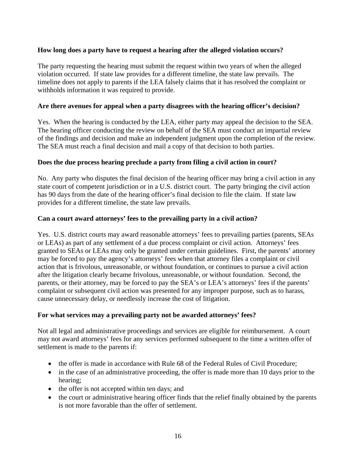#### **How long does a party have to request a hearing after the alleged violation occurs?**

The party requesting the hearing must submit the request within two years of when the alleged violation occurred. If state law provides for a different timeline, the state law prevails. The timeline does not apply to parents if the LEA falsely claims that it has resolved the complaint or withholds information it was required to provide.

#### **Are there avenues for appeal when a party disagrees with the hearing officer's decision?**

Yes. When the hearing is conducted by the LEA, either party may appeal the decision to the SEA. The hearing officer conducting the review on behalf of the SEA must conduct an impartial review of the findings and decision and make an independent judgment upon the completion of the review. The SEA must reach a final decision and mail a copy of that decision to both parties.

#### **Does the due process hearing preclude a party from filing a civil action in court?**

No. Any party who disputes the final decision of the hearing officer may bring a civil action in any state court of competent jurisdiction or in a U.S. district court. The party bringing the civil action has 90 days from the date of the hearing officer's final decision to file the claim. If state law provides for a different timeline, the state law prevails.

#### **Can a court award attorneys' fees to the prevailing party in a civil action?**

Yes. U.S. district courts may award reasonable attorneys' fees to prevailing parties (parents, SEAs or LEAs) as part of any settlement of a due process complaint or civil action. Attorneys' fees granted to SEAs or LEAs may only be granted under certain guidelines. First, the parents' attorney may be forced to pay the agency's attorneys' fees when that attorney files a complaint or civil action that is frivolous, unreasonable, or without foundation, or continues to pursue a civil action after the litigation clearly became frivolous, unreasonable, or without foundation. Second, the parents, or their attorney, may be forced to pay the SEA's or LEA's attorneys' fees if the parents' complaint or subsequent civil action was presented for any improper purpose, such as to harass, cause unnecessary delay, or needlessly increase the cost of litigation.

#### **For what services may a prevailing party not be awarded attorneys' fees?**

Not all legal and administrative proceedings and services are eligible for reimbursement. A court may not award attorneys' fees for any services performed subsequent to the time a written offer of settlement is made to the parents if:

- the offer is made in accordance with Rule 68 of the Federal Rules of Civil Procedure;
- in the case of an administrative proceeding, the offer is made more than 10 days prior to the hearing;
- the offer is not accepted within ten days; and
- the court or administrative hearing officer finds that the relief finally obtained by the parents is not more favorable than the offer of settlement.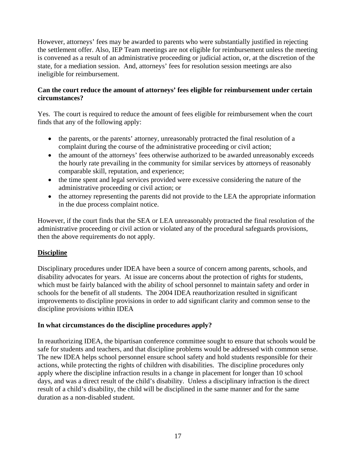However, attorneys' fees may be awarded to parents who were substantially justified in rejecting the settlement offer. Also, IEP Team meetings are not eligible for reimbursement unless the meeting is convened as a result of an administrative proceeding or judicial action, or, at the discretion of the state, for a mediation session. And, attorneys' fees for resolution session meetings are also ineligible for reimbursement.

#### **Can the court reduce the amount of attorneys' fees eligible for reimbursement under certain circumstances?**

Yes. The court is required to reduce the amount of fees eligible for reimbursement when the court finds that any of the following apply:

- the parents, or the parents' attorney, unreasonably protracted the final resolution of a complaint during the course of the administrative proceeding or civil action;
- the amount of the attorneys' fees otherwise authorized to be awarded unreasonably exceeds the hourly rate prevailing in the community for similar services by attorneys of reasonably comparable skill, reputation, and experience;
- the time spent and legal services provided were excessive considering the nature of the administrative proceeding or civil action; or
- the attorney representing the parents did not provide to the LEA the appropriate information in the due process complaint notice.

However, if the court finds that the SEA or LEA unreasonably protracted the final resolution of the administrative proceeding or civil action or violated any of the procedural safeguards provisions, then the above requirements do not apply.

#### **Discipline**

Disciplinary procedures under IDEA have been a source of concern among parents, schools, and disability advocates for years. At issue are concerns about the protection of rights for students, which must be fairly balanced with the ability of school personnel to maintain safety and order in schools for the benefit of all students. The 2004 IDEA reauthorization resulted in significant improvements to discipline provisions in order to add significant clarity and common sense to the discipline provisions within IDEA

#### **In what circumstances do the discipline procedures apply?**

In reauthorizing IDEA, the bipartisan conference committee sought to ensure that schools would be safe for students and teachers, and that discipline problems would be addressed with common sense. The new IDEA helps school personnel ensure school safety and hold students responsible for their actions, while protecting the rights of children with disabilities. The discipline procedures only apply where the discipline infraction results in a change in placement for longer than 10 school days, and was a direct result of the child's disability. Unless a disciplinary infraction is the direct result of a child's disability, the child will be disciplined in the same manner and for the same duration as a non-disabled student.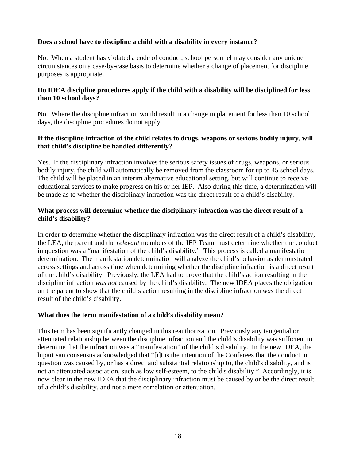#### **Does a school have to discipline a child with a disability in every instance?**

No. When a student has violated a code of conduct, school personnel may consider any unique circumstances on a case-by-case basis to determine whether a change of placement for discipline purposes is appropriate.

#### **Do IDEA discipline procedures apply if the child with a disability will be disciplined for less than 10 school days?**

No. Where the discipline infraction would result in a change in placement for less than 10 school days, the discipline procedures do not apply.

#### **If the discipline infraction of the child relates to drugs, weapons or serious bodily injury, will that child's discipline be handled differently?**

Yes. If the disciplinary infraction involves the serious safety issues of drugs, weapons, or serious bodily injury, the child will automatically be removed from the classroom for up to 45 school days. The child will be placed in an interim alternative educational setting, but will continue to receive educational services to make progress on his or her IEP. Also during this time, a determination will be made as to whether the disciplinary infraction was the direct result of a child's disability.

#### **What process will determine whether the disciplinary infraction was the direct result of a child's disability?**

In order to determine whether the disciplinary infraction was the direct result of a child's disability, the LEA, the parent and the *relevant* members of the IEP Team must determine whether the conduct in question was a "manifestation of the child's disability."This process is called a manifestation determination. The manifestation determination will analyze the child's behavior as demonstrated across settings and across time when determining whether the discipline infraction is a direct result of the child's disability. Previously, the LEA had to prove that the child's action resulting in the discipline infraction *was not* caused by the child's disability. The new IDEA places the obligation on the parent to show that the child's action resulting in the discipline infraction *was* the direct result of the child's disability.

#### **What does the term manifestation of a child's disability mean?**

This term has been significantly changed in this reauthorization. Previously any tangential or attenuated relationship between the discipline infraction and the child's disability was sufficient to determine that the infraction was a "manifestation" of the child's disability. In the new IDEA, the bipartisan consensus acknowledged that "[i]t is the intention of the Conferees that the conduct in question was caused by, or has a direct and substantial relationship to, the child's disability, and is not an attenuated association, such as low self-esteem, to the child's disability." Accordingly, it is now clear in the new IDEA that the disciplinary infraction must be caused by or be the direct result of a child's disability, and not a mere correlation or attenuation.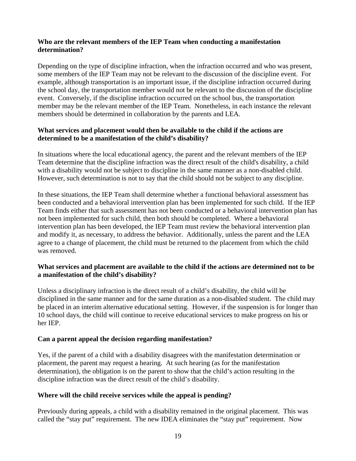#### **Who are the relevant members of the IEP Team when conducting a manifestation determination?**

Depending on the type of discipline infraction, when the infraction occurred and who was present, some members of the IEP Team may not be relevant to the discussion of the discipline event. For example, although transportation is an important issue, if the discipline infraction occurred during the school day, the transportation member would not be relevant to the discussion of the discipline event. Conversely, if the discipline infraction occurred on the school bus, the transportation member may be the relevant member of the IEP Team. Nonetheless, in each instance the relevant members should be determined in collaboration by the parents and LEA.

#### **What services and placement would then be available to the child if the actions are determined to be a manifestation of the child's disability?**

In situations where the local educational agency, the parent and the relevant members of the IEP Team determine that the discipline infraction was the direct result of the child's disability, a child with a disability would not be subject to discipline in the same manner as a non-disabled child. However, such determination is not to say that the child should not be subject to any discipline.

In these situations, the IEP Team shall determine whether a functional behavioral assessment has been conducted and a behavioral intervention plan has been implemented for such child. If the IEP Team finds either that such assessment has not been conducted or a behavioral intervention plan has not been implemented for such child, then both should be completed. Where a behavioral intervention plan has been developed, the IEP Team must review the behavioral intervention plan and modify it, as necessary, to address the behavior. Additionally, unless the parent and the LEA agree to a change of placement, the child must be returned to the placement from which the child was removed.

#### **What services and placement are available to the child if the actions are determined not to be a manifestation of the child's disability?**

Unless a disciplinary infraction is the direct result of a child's disability, the child will be disciplined in the same manner and for the same duration as a non-disabled student. The child may be placed in an interim alternative educational setting. However, if the suspension is for longer than 10 school days, the child will continue to receive educational services to make progress on his or her IEP.

#### **Can a parent appeal the decision regarding manifestation?**

Yes, if the parent of a child with a disability disagrees with the manifestation determination or placement, the parent may request a hearing. At such hearing (as for the manifestation determination), the obligation is on the parent to show that the child's action resulting in the discipline infraction was the direct result of the child's disability.

#### **Where will the child receive services while the appeal is pending?**

Previously during appeals, a child with a disability remained in the original placement. This was called the "stay put" requirement. The new IDEA eliminates the "stay put" requirement. Now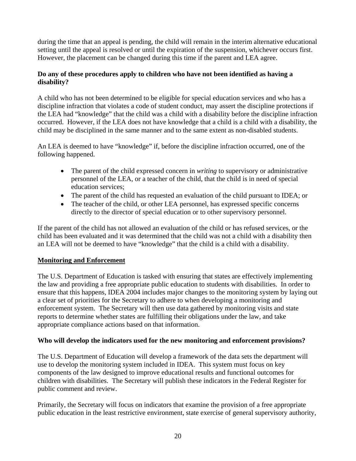during the time that an appeal is pending, the child will remain in the interim alternative educational setting until the appeal is resolved or until the expiration of the suspension, whichever occurs first. However, the placement can be changed during this time if the parent and LEA agree.

#### **Do any of these procedures apply to children who have not been identified as having a disability?**

A child who has not been determined to be eligible for special education services and who has a discipline infraction that violates a code of student conduct, may assert the discipline protections if the LEA had "knowledge" that the child was a child with a disability before the discipline infraction occurred. However, if the LEA does not have knowledge that a child is a child with a disability, the child may be disciplined in the same manner and to the same extent as non-disabled students.

An LEA is deemed to have "knowledge" if, before the discipline infraction occurred, one of the following happened.

- The parent of the child expressed concern in *writing* to supervisory or administrative personnel of the LEA, or a teacher of the child, that the child is in need of special education services;
- The parent of the child has requested an evaluation of the child pursuant to IDEA; or
- The teacher of the child, or other LEA personnel, has expressed specific concerns directly to the director of special education or to other supervisory personnel.

If the parent of the child has not allowed an evaluation of the child or has refused services, or the child has been evaluated and it was determined that the child was not a child with a disability then an LEA will not be deemed to have "knowledge" that the child is a child with a disability.

#### **Monitoring and Enforcement**

The U.S. Department of Education is tasked with ensuring that states are effectively implementing the law and providing a free appropriate public education to students with disabilities. In order to ensure that this happens, IDEA 2004 includes major changes to the monitoring system by laying out a clear set of priorities for the Secretary to adhere to when developing a monitoring and enforcement system. The Secretary will then use data gathered by monitoring visits and state reports to determine whether states are fulfilling their obligations under the law, and take appropriate compliance actions based on that information.

#### **Who will develop the indicators used for the new monitoring and enforcement provisions?**

The U.S. Department of Education will develop a framework of the data sets the department will use to develop the monitoring system included in IDEA. This system must focus on key components of the law designed to improve educational results and functional outcomes for children with disabilities. The Secretary will publish these indicators in the Federal Register for public comment and review.

Primarily, the Secretary will focus on indicators that examine the provision of a free appropriate public education in the least restrictive environment, state exercise of general supervisory authority,